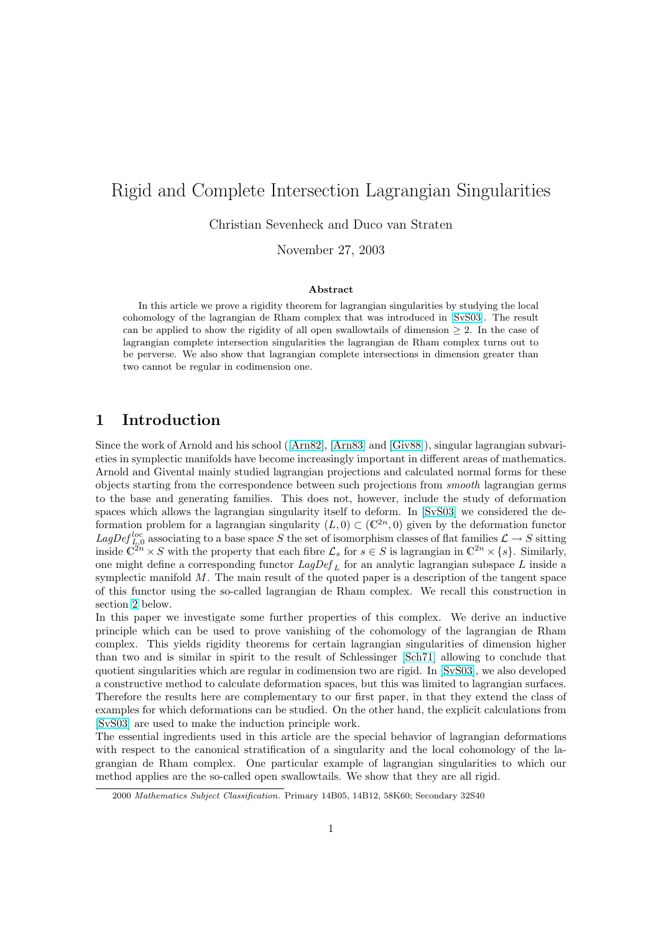# Rigid and Complete Intersection Lagrangian Singularities

Christian Sevenheck and Duco van Straten

November 27, 2003

#### Abstract

In this article we prove a rigidity theorem for lagrangian singularities by studying the local cohomology of the lagrangian de Rham complex that was introduced in [SvS03]. The result can be applied to show the rigidity of all open swallowtails of dimension  $\geq 2$ . In the case of lagrangian complete intersection singularities the lagrangian de Rham complex turns out to be perverse. We also show that lagrangian complete intersections in dimension greater than two cannot be regular in codimension one.

# 1 Introduction

Since the work of Arnold and his school ([Arn82], [Arn83] and [Giv88]), singular lagrangian subvarieties in symplectic manifolds have become increasingly important in different areas of mathematics. Arnold and Givental mainly studied lagrangian projections and calculated normal forms for these objects starting from the correspondence between such projections from smooth lagrangian germs to the base and generating families. T[his doe](#page-10-0)s [not, ho](#page-10-0)wev[er, inclu](#page-10-0)de the study of deformation spaces which allows the lagrangian singularity itself to deform. In [SvS03] we considered the deformation problem for a lagrangian singularity  $(L, 0) \subset (\mathbb{C}^{2n}, 0)$  given by the deformation functor LagDef<sup>loc</sup> associating to a base space S the set of isomorphism classes of flat families  $\mathcal{L} \to S$  sitting inside  $\mathbb{C}^{2n} \times S$  with the property that each fibre  $\mathcal{L}_s$  for  $s \in S$  is lagrangian in  $\mathbb{C}^{2n} \times \{s\}$ . Similarly, one might define a corresponding functor  $LagDef_L$  for an analytic l[agrangi](#page-11-0)an subspace L inside a symplectic manifold  $M$ . The main result of the quoted paper is a description of the tangent space of this functor using the so-called lagrangian de Rham complex. We recall this construction in section 2 below.

In this paper we investigate some further properties of this complex. We derive an inductive principle which can be used to prove vanishing of the cohomology of the lagrangian de Rham complex. This yields rigidity theorems for certain lagrangian singularities of dimension higher than t[wo](#page-1-0) and is similar in spirit to the result of Schlessinger [Sch71] allowing to conclude that quotient singularities which are regular in codimension two are rigid. In [SvS03], we also developed a constructive method to calculate deformation spaces, but this was limited to lagrangian surfaces. Therefore the results here are complementary to our first paper, in that they extend the class of examples for which deformations can be studied. On the other h[and, th](#page-11-0)e explicit calculations from [SvS03] are used to make the induction principle work.

The essential ingredients used in this article are the special behavior of lagrangian deformations with respect to the canonical stratification of a singularity and the local cohomology of the lagrangian de Rham complex. One particular example of lagrangian singularities to which our [method](#page-11-0) applies are the so-called open swallowtails. We show that they are all rigid.

<sup>2000</sup> Mathematics Subject Classification. Primary 14B05, 14B12, 58K60; Secondary 32S40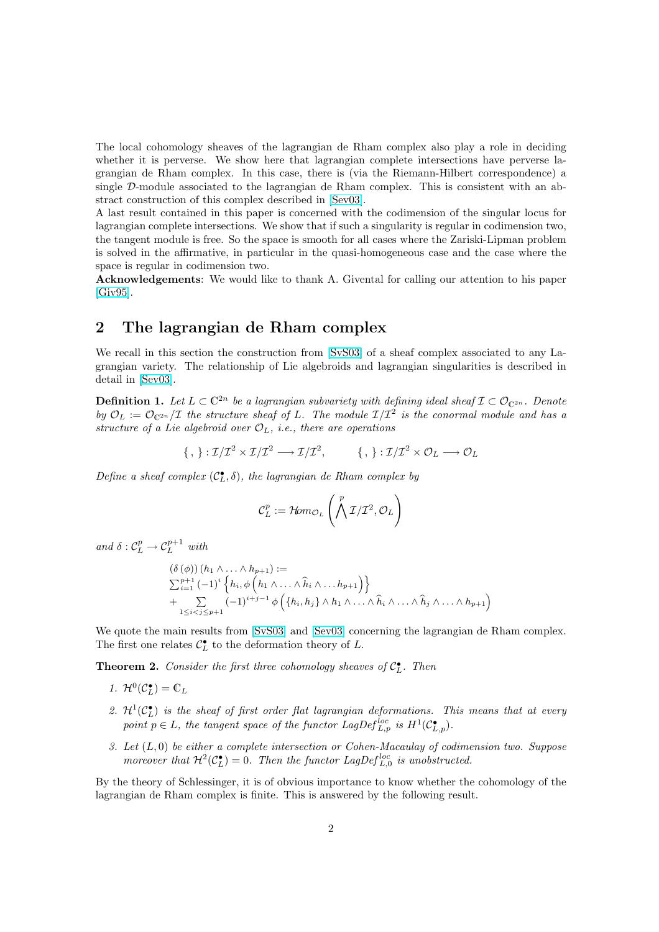<span id="page-1-0"></span>The local cohomology sheaves of the lagrangian de Rham complex also play a role in deciding whether it is perverse. We show here that lagrangian complete intersections have perverse lagrangian de Rham complex. In this case, there is (via the Riemann-Hilbert correspondence) a single D-module associated to the lagrangian de Rham complex. This is consistent with an abstract construction of this complex described in [Sev03].

A last result contained in this paper is concerned with the codimension of the singular locus for lagrangian complete intersections. We show that if such a singularity is regular in codimension two, the tangent module is free. So the space is smooth for all cases where the Zariski-Lipman problem is solved in the affirmative, in particular in the [quasi-h](#page-11-0)omogeneous case and the case where the space is regular in codimension two.

Acknowledgements: We would like to thank A. Givental for calling our attention to his paper [Giv95].

# 2 The lagrangian de Rham complex

[We rec](#page-10-0)all in this section the construction from [SvS03] of a sheaf complex associated to any Lagrangian variety. The relationship of Lie algebroids and lagrangian singularities is described in detail in [Sev03].

**Definition 1.** Let  $L \subset \mathbb{C}^{2n}$  be a lagrangian subv[ariety w](#page-11-0)ith defining ideal sheaf  $\mathcal{I} \subset \mathcal{O}_{\mathbb{C}^{2n}}$ . Denote by  $\mathcal{O}_L := \mathcal{O}_{\mathbb{C}^{2n}}/\mathcal{I}$  the structure sheaf of L. The module  $\mathcal{I}/\mathcal{I}^2$  is the conormal module and has a structure [of a L](#page-11-0)ie algebroid over  $\mathcal{O}_L$ , i.e., there are operations

$$
\{\,,\,\}: \mathcal{I}/\mathcal{I}^2 \times \mathcal{I}/\mathcal{I}^2 \longrightarrow \mathcal{I}/\mathcal{I}^2, \qquad \ \ \{\,,\,\}: \mathcal{I}/\mathcal{I}^2 \times \mathcal{O}_L \longrightarrow \mathcal{O}_L
$$

Define a sheaf complex  $(C_L^{\bullet}, \delta)$ , the lagrangian de Rham complex by

$$
\mathcal{C}^p_L := \mathcal{H}\!{\it om}_{{\mathcal{O}}_L}\left(\bigwedge^p\mathcal{I}/\mathcal{I}^2, {\mathcal{O}}_L\right)
$$

and  $\delta: \mathcal{C}_L^p \to \mathcal{C}_L^{p+1}$  with

$$
(\delta (\phi)) (h_1 \wedge \ldots \wedge h_{p+1}) :=
$$
  

$$
\sum_{i=1}^{p+1} (-1)^i \left\{ h_i, \phi \left( h_1 \wedge \ldots \wedge \widehat{h}_i \wedge \ldots h_{p+1} \right) \right\}
$$
  
+ 
$$
\sum_{1 \leq i < j \leq p+1} (-1)^{i+j-1} \phi \left( \left\{ h_i, h_j \right\} \wedge h_1 \wedge \ldots \wedge \widehat{h}_i \wedge \ldots \wedge \widehat{h}_j \wedge \ldots \wedge h_{p+1} \right)
$$

We quote the main results from [SvS03] and [Sev03] concerning the lagrangian de Rham complex. The first one relates  $C_{L}^{\bullet}$  to the deformation theory of L.

**Theorem 2.** Consider the first three cohomology sheaves of  $C_{L}^{\bullet}$ . Then

- 1.  $\mathcal{H}^0(\mathcal{C}_L^{\bullet}) = \mathbb{C}_L$
- 2.  $\mathcal{H}^1(\mathcal{C}_L^{\bullet})$  is the sheaf of first order flat lagrangian deformations. This means that at every point  $p \in L$ , the tangent space of the functor  $LagDef_{L,p}^{loc}$  is  $H^1(\mathcal{C}_{L,p}^{\bullet})$ .
- 3. Let  $(L, 0)$  be either a complete intersection or Cohen-Macaulay of codimension two. Suppose moreover that  $\mathcal{H}^2(\mathcal{C}_{L}^{\bullet})=0$ . Then the functor LagDef<sup>loc</sup> is unobstructed.

By the theory of Schlessinger, it is of obvious importance to know whether the cohomology of the lagrangian de Rham complex is finite. This is answered by the following result.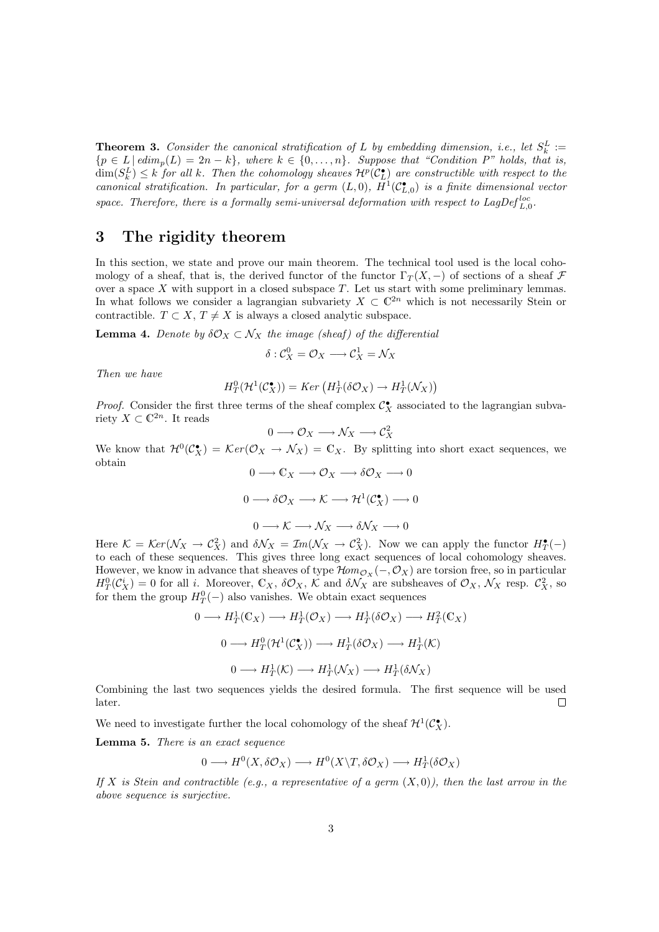<span id="page-2-0"></span>**Theorem 3.** Consider the canonical stratification of L by embedding dimension, i.e., let  $S_k^L :=$  ${p \in L \mid edim_p(L) = 2n - k}, where k \in {0, \ldots, n}. Suppose that "Condition P" holds, that is,$  $\dim(S_k^L) \leq k$  for all k. Then the cohomology sheaves  $\mathcal{H}^p(\mathcal{C}_L^{\bullet})$  are constructible with respect to the canonical stratification. In particular, for a germ  $(L,0)$ ,  $\bar{H}^1(\mathcal{C}_{L,0}^{\bullet})$  is a finite dimensional vector space. Therefore, there is a formally semi-universal deformation with respect to LagDef $_{L,0}^{loc}$ .

# 3 The rigidity theorem

In this section, we state and prove our main theorem. The technical tool used is the local cohomology of a sheaf, that is, the derived functor of the functor  $\Gamma_T(X, -)$  of sections of a sheaf F over a space X with support in a closed subspace  $T$ . Let us start with some preliminary lemmas. In what follows we consider a lagrangian subvariety  $X \subset \mathbb{C}^{2n}$  which is not necessarily Stein or contractible.  $T \subset X$ ,  $T \neq X$  is always a closed analytic subspace.

**Lemma 4.** Denote by  $\delta O_X \subset \mathcal{N}_X$  the image (sheaf) of the differential

$$
\delta: \mathcal{C}_X^0 = \mathcal{O}_X \longrightarrow \mathcal{C}_X^1 = \mathcal{N}_X
$$

Then we have

$$
H_T^0(\mathcal{H}^1(\mathcal{C}_X^{\bullet})) = Ker\left(H_T^1(\delta \mathcal{O}_X) \to H_T^1(\mathcal{N}_X)\right)
$$

*Proof.* Consider the first three terms of the sheaf complex  $C_X^{\bullet}$  associated to the lagrangian subvariety  $X \subset \mathbb{C}^{2n}$ . It reads

$$
0 \longrightarrow \mathcal{O}_X \longrightarrow \mathcal{N}_X \longrightarrow \mathcal{C}_X^2
$$

We know that  $\mathcal{H}^0(\mathcal{C}_X^{\bullet}) = \mathcal{K}er(\mathcal{O}_X \to \mathcal{N}_X) = \mathbb{C}_X$ . By splitting into short exact sequences, we obtain  $\cap$   $\setminus$   $\cap$ 

$$
0 \longrightarrow \mathbb{C}X \longrightarrow \mathcal{O}X \longrightarrow \delta\mathcal{O}X \longrightarrow 0
$$

$$
0 \longrightarrow \delta\mathcal{O}X \longrightarrow \mathcal{K} \longrightarrow \mathcal{H}^1(\mathcal{C}^{\bullet}_X) \longrightarrow 0
$$

$$
0 \longrightarrow \mathcal{K} \longrightarrow \mathcal{N}X \longrightarrow \delta\mathcal{N}X \longrightarrow 0
$$

Here  $\mathcal{K} = \mathcal{K}er(\mathcal{N}_X \to \mathcal{C}_X^2)$  and  $\delta \mathcal{N}_X = \mathcal{I}m(\mathcal{N}_X \to \mathcal{C}_X^2)$ . Now we can apply the functor  $H_T^{\bullet}(-)$ to each of these sequences. This gives three long exact sequences of local cohomology sheaves. However, we know in advance that sheaves of type  $\mathcal{H}om_{\mathcal{O}_X}(-,\mathcal{O}_X)$  are torsion free, so in particular  $H_T^0(\mathcal{C}_X^i) = 0$  for all i. Moreover,  $\mathbb{C}_X$ ,  $\delta \mathcal{O}_X$ ,  $\mathcal{K}$  and  $\delta \mathcal{N}_X$  are subsheaves of  $\mathcal{O}_X$ ,  $\mathcal{N}_X$  resp.  $\mathcal{C}_X^2$ , so for them the group  $H_T^0(-)$  also vanishes. We obtain exact sequences

$$
0 \longrightarrow H_T^1(\mathbb{C}_X) \longrightarrow H_T^1(\mathcal{O}_X) \longrightarrow H_T^1(\delta \mathcal{O}_X) \longrightarrow H_T^2(\mathbb{C}_X)
$$
  

$$
0 \longrightarrow H_T^0(\mathcal{H}^1(\mathcal{C}_X^{\bullet})) \longrightarrow H_T^1(\delta \mathcal{O}_X) \longrightarrow H_T^1(\mathcal{K})
$$
  

$$
0 \longrightarrow H_T^1(\mathcal{K}) \longrightarrow H_T^1(\mathcal{N}_X) \longrightarrow H_T^1(\delta \mathcal{N}_X)
$$

Combining the last two sequences yields the desired formula. The first sequence will be used later.  $\Box$ 

We need to investigate further the local cohomology of the sheaf  $\mathcal{H}^1(\mathcal{C}^{\bullet}_{\mathbf{X}})$ .

Lemma 5. There is an exact sequence

$$
0 \longrightarrow H^0(X, \delta \mathcal{O}_X) \longrightarrow H^0(X \backslash T, \delta \mathcal{O}_X) \longrightarrow H^1_T(\delta \mathcal{O}_X)
$$

If X is Stein and contractible (e.g., a representative of a germ  $(X,0)$ ), then the last arrow in the above sequence is surjective.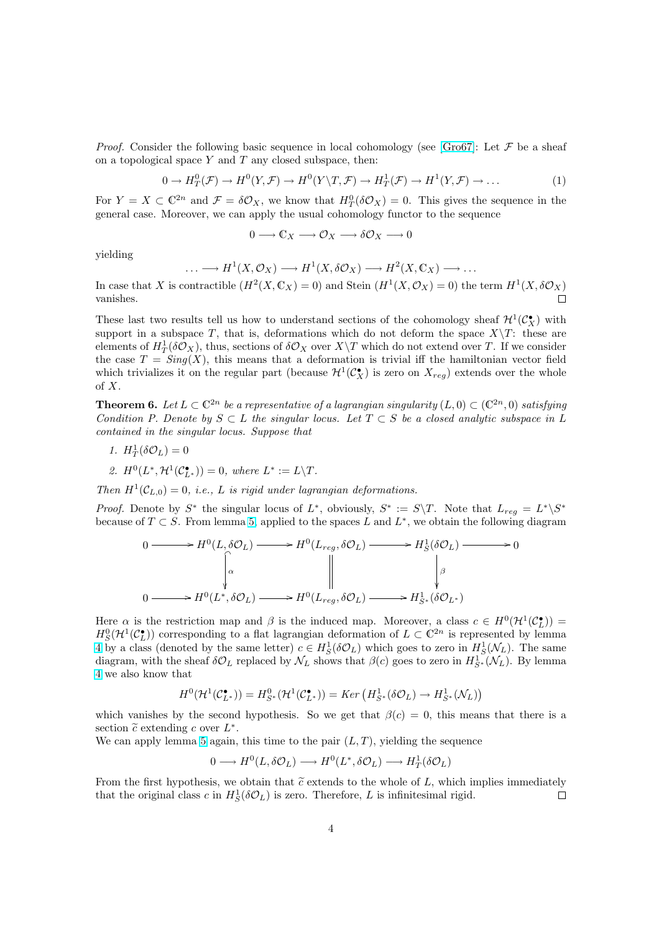<span id="page-3-0"></span>*Proof.* Consider the following basic sequence in local cohomology (see [Gro67]: Let  $\mathcal F$  be a sheaf on a topological space  $Y$  and  $T$  any closed subspace, then:

$$
0 \to H^0_T(\mathcal{F}) \to H^0(Y, \mathcal{F}) \to H^0(Y \setminus T, \mathcal{F}) \to H^1_T(\mathcal{F}) \to H^1(Y, \mathcal{F}) \to \dots \tag{1}
$$

For  $Y = X \subset \mathbb{C}^{2n}$  and  $\mathcal{F} = \delta \mathcal{O}_X$ , we know that  $H^0_T(\delta \mathcal{O}_X) = 0$ . This [gives t](#page-10-0)he sequence in the general case. Moreover, we can apply the usual cohomology functor to the sequence

$$
0 \longrightarrow \mathbb{C}_X \longrightarrow \mathcal{O}_X \longrightarrow \delta \mathcal{O}_X \longrightarrow 0
$$

yielding

$$
\ldots \longrightarrow H^1(X, \mathcal{O}_X) \longrightarrow H^1(X, \delta \mathcal{O}_X) \longrightarrow H^2(X, \mathbb{C}_X) \longrightarrow \ldots
$$

In case that X is contractible  $(H^2(X, \mathbb{C}_X) = 0)$  and Stein  $(H^1(X, \mathcal{O}_X) = 0)$  the term  $H^1(X, \delta \mathcal{O}_X)$ vanishes.

These last two results tell us how to understand sections of the cohomology sheaf  $\mathcal{H}^1(\mathcal{C}^{\bullet}_X)$  with support in a subspace T, that is, deformations which do not deform the space  $X\mathcal{T}$ : these are elements of  $H_T^1(\delta \mathcal{O}_X)$ , thus, sections of  $\delta \mathcal{O}_X$  over  $X\backslash T$  which do not extend over T. If we consider the case  $T = Sing(X)$ , this means that a deformation is trivial iff the hamiltonian vector field which trivializes it on the regular part (because  $\mathcal{H}^1(\mathcal{C}_X^{\bullet})$  is zero on  $X_{reg}$ ) extends over the whole of X.

**Theorem 6.** Let  $L \subset \mathbb{C}^{2n}$  be a representative of a lagrangian singularity  $(L,0) \subset (\mathbb{C}^{2n},0)$  satisfying Condition P. Denote by  $S \subset L$  the singular locus. Let  $T \subset S$  be a closed analytic subspace in L contained in the singular locus. Suppose that

$$
1. H^1_T(\delta \mathcal{O}_L) = 0
$$

2.  $H^0(L^*, \mathcal{H}^1(\mathcal{C}_{L^*}^{\bullet})) = 0$ , where  $L^* := L \backslash T$ .

Then  $H^1(\mathcal{C}_{L,0}) = 0$ , i.e., L is rigid under lagrangian deformations.

*Proof.* Denote by  $S^*$  the singular locus of  $L^*$ , obviously,  $S^* := S \setminus T$ . Note that  $L_{reg} = L^* \setminus S^*$ because of  $T \subset S$ . From lemma 5, applied to the spaces L and  $L^*$ , we obtain the following diagram

$$
0 \longrightarrow H^{0}(L, \delta \mathcal{O}_{L}) \longrightarrow H^{0}(L_{reg}, \delta \mathcal{O}_{L}) \longrightarrow H^{1}_{S}(\delta \mathcal{O}_{L}) \longrightarrow 0
$$
  
\n
$$
\downarrow^{\alpha} \qquad \qquad \downarrow^{\alpha} \qquad \qquad \downarrow^{\beta}
$$
  
\n
$$
0 \longrightarrow H^{0}(L^{*}, \delta \mathcal{O}_{L}) \longrightarrow H^{0}(L_{reg}, \delta \mathcal{O}_{L}) \longrightarrow H^{1}_{S^{*}}(\delta \mathcal{O}_{L^{*}})
$$

Here  $\alpha$  is the restriction map and  $\beta$  is the induced map. Moreover, a class  $c \in H^0(\mathcal{H}^1(\mathcal{C}_{L}^{\bullet}))$  $H_S^0(\mathcal{H}^1(\mathcal{C}_L^{\bullet}))$  corresponding to a flat lagrangian deformation of  $L \subset \mathbb{C}^{2n}$  is represented by lemma 4 by a class (denoted by the same letter)  $c \in H_S^1(\delta \mathcal{O}_L)$  which goes to zero in  $H_S^1(\mathcal{N}_L)$ . The same diagram, with the sheaf  $\delta\mathcal{O}_L$  replaced by  $\mathcal{N}_L$  shows that  $\beta(c)$  goes to zero in  $H^1_{S^*}(\mathcal{N}_L)$ . By lemma 4 we also know that

$$
H^0(\mathcal{H}^1(\mathcal{C}_{L^*}^{\bullet}))=H^0_{S^*}(\mathcal{H}^1(\mathcal{C}_{L^*}^{\bullet}))=\text{Ker}\left(H^1_{S^*}(\delta\mathcal{O}_L)\rightarrow H^1_{S^*}(\mathcal{N}_L)\right)
$$

which vanishes by the second hypothesis. So we get that  $\beta(c) = 0$ , this means that there is a [se](#page-2-0)ction  $\tilde{c}$  extending c over  $L^*$ .

We can apply lemma 5 again, this time to the pair  $(L, T)$ , yielding the sequence

$$
0 \longrightarrow H^0(L, \delta \mathcal{O}_L) \longrightarrow H^0(L^*, \delta \mathcal{O}_L) \longrightarrow H^1_T(\delta \mathcal{O}_L)
$$

From the first hypothesis, we obtain that  $\tilde{c}$  extends to the whole of L, which implies immediately that the original [c](#page-2-0)lass c in  $H_S^1(\delta \mathcal{O}_L)$  is zero. Therefore, L is infinitesimal rigid.  $\Box$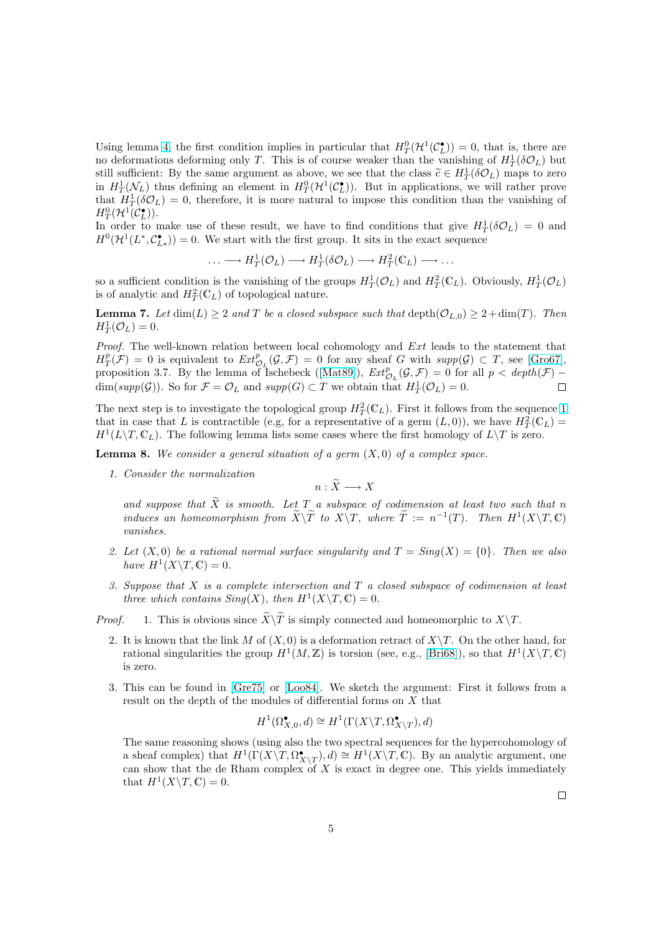<span id="page-4-0"></span>Using lemma 4, the first condition implies in particular that  $H_T^0(\mathcal{H}^1(\mathcal{C}_L^{\bullet})) = 0$ , that is, there are no deformations deforming only T. This is of course weaker than the vanishing of  $H_T^1(\delta \mathcal{O}_L)$  but still sufficient: By the same argument as above, we see that the class  $\tilde{c} \in H_T^1(\delta \mathcal{O}_L)$  maps to zero in  $H^1_T(\mathcal{N}_L)$  thus defining an element in  $H^0_T(\mathcal{H}^1(\mathcal{C}_{L}^{\bullet}))$ . But in applications, we will rather prove that  $H_T^1(\delta \mathcal{O}_L) = 0$  $H_T^1(\delta \mathcal{O}_L) = 0$  $H_T^1(\delta \mathcal{O}_L) = 0$ , therefore, it is more natural to impose this condition than the vanishing of  $H^0_T(\mathcal{H}^1(\mathcal{C}_L^{\bullet})).$ 

In order to make use of these result, we have to find conditions that give  $H_T^1(\delta \mathcal{O}_L) = 0$  and  $H^0(\mathcal{H}^1(L^*, \mathcal{C}_{L^*}^{\bullet})) = 0.$  We start with the first group. It sits in the exact sequence

$$
\ldots \longrightarrow H^1_T(\mathcal{O}_L) \longrightarrow H^1_T(\delta \mathcal{O}_L) \longrightarrow H^2_T(\mathbb{C}_L) \longrightarrow \ldots
$$

so a sufficient condition is the vanishing of the groups  $H_T^1(\mathcal{O}_L)$  and  $H_T^2(\mathbb{C}_L)$ . Obviously,  $H_T^1(\mathcal{O}_L)$ is of analytic and  $H_T^2(\mathbb{C}_L)$  of topological nature.

**Lemma 7.** Let  $\dim(L) \geq 2$  and T be a closed subspace such that  $\text{depth}(\mathcal{O}_{L,0}) \geq 2+\dim(T)$ . Then  $H_T^1(\mathcal{O}_L)=0.$ 

Proof. The well-known relation between local cohomology and Ext leads to the statement that  $H^p_T(\mathcal{F}) = 0$  is equivalent to  $Ext^p_{\mathcal{O}_L}(\mathcal{G}, \mathcal{F}) = 0$  for any sheaf G with  $supp(\mathcal{G}) \subset T$ , see [Gro67], proposition 3.7. By the lemma of Ischebeck ([Mat89]),  $Ext^p_{\mathcal{O}_L}(\mathcal{G}, \mathcal{F}) = 0$  for all  $p < depth(\mathcal{F}) \dim(supp(\mathcal{G}))$ . So for  $\mathcal{F} = \mathcal{O}_L$  and  $supp(G) \subset T$  we obtain that  $H^1_T(\mathcal{O}_L) = 0$ .  $\Box$ 

The next step is to investigate the topological group  $H_T^2(\mathbb{C}_L)$ . First it follows from the se[quence](#page-10-0) 1 that in case that L is contractible (e.g, for a r[epresent](#page-10-0)ative of a germ  $(L, 0)$ ), we have  $H_T^2(\mathbb{C}_L)$  =  $H^1(L\backslash T, \mathbb{C}_L)$ . The following lemma lists some cases where the first homology of  $L\backslash T$  is zero.

**Lemma 8.** We consider a general situation of a germ  $(X, 0)$  of a complex space.

1. Consider the normalization

 $n : \widetilde{X} \longrightarrow X$ 

and suppose that  $\widetilde{X}$  is smooth. Let T a subspace of codimension at least two such that n induces an homeomorphism from  $\widetilde{X}\backslash\widetilde{T}$  to  $X\backslash T$ , where  $\widetilde{T} := n^{-1}(T)$ . Then  $H^1(X\backslash T, \mathbb{C})$ vanishes.

- 2. Let  $(X, 0)$  be a rational normal surface singularity and  $T = Sing(X) = \{0\}$ . Then we also have  $H^1(X \backslash T, \mathbb{C}) = 0$ .
- 3. Suppose that  $X$  is a complete intersection and  $T$  a closed subspace of codimension at least three which contains  $Sing(X)$ , then  $H^1(X \backslash T, \mathbb{C}) = 0$ .

*Proof.* 1. This is obvious since  $\widetilde{X}\backslash\widetilde{T}$  is simply connected and homeomorphic to  $X\backslash T$ .

- 2. It is known that the link M of  $(X, 0)$  is a deformation retract of  $X\$ T. On the other hand, for rational singularities the group  $H^1(M, \mathbb{Z})$  is torsion (see, e.g., [Bri68]), so that  $H^1(X \backslash T, \mathbb{C})$ is zero.
- 3. This can be found in [Gre75] or [Loo84]. We sketch the argument: First it follows from a result on the depth of the modules of differential forms on X t[hat](#page-10-0)

$$
H^1(\Omega^\bullet_{X,0},d)\cong H^1(\Gamma(X\backslash T,\Omega^\bullet_{X\backslash T}),d)
$$

The same reasoning sh[ows \(us](#page-10-0)ing [also the](#page-10-0) two spectral sequences for the hypercohomology of a sheaf complex) that  $H^1(\Gamma(X\ Y, \Omega^{\bullet}_{X\ Y}), d) \cong H^1(X\ Y, \mathbb{C})$ . By an analytic argument, one can show that the de Rham complex of  $X$  is exact in degree one. This yields immediately that  $H^1(X \backslash T, \mathbb{C}) = 0$ .

 $\Box$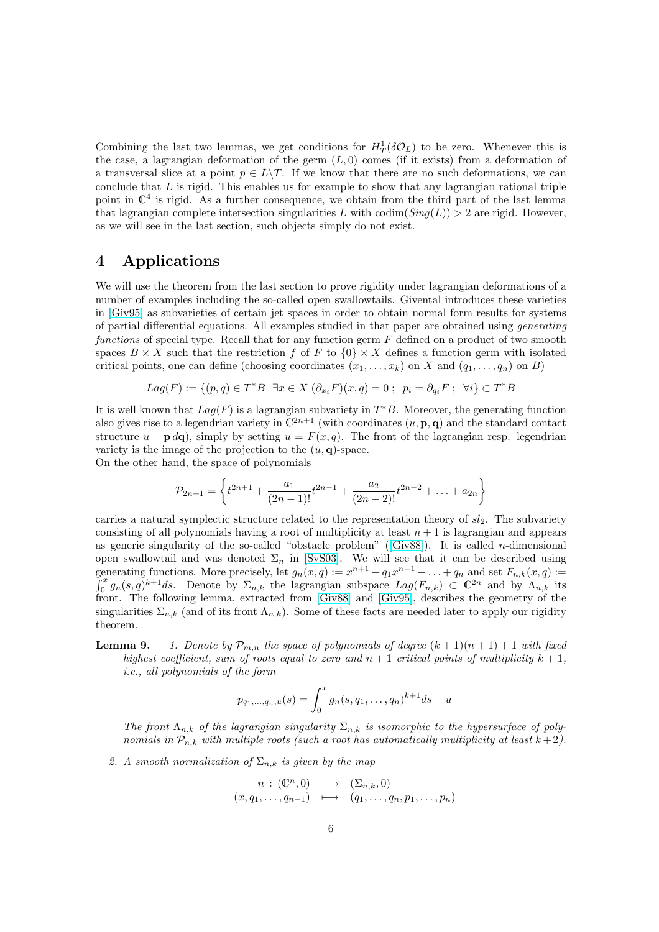<span id="page-5-0"></span>Combining the last two lemmas, we get conditions for  $H_T^1(\delta \mathcal{O}_L)$  to be zero. Whenever this is the case, a lagrangian deformation of the germ  $(L, 0)$  comes (if it exists) from a deformation of a transversal slice at a point  $p \in L \backslash T$ . If we know that there are no such deformations, we can conclude that  $L$  is rigid. This enables us for example to show that any lagrangian rational triple point in  $\mathbb{C}^4$  is rigid. As a further consequence, we obtain from the third part of the last lemma that lagrangian complete intersection singularities L with  $\text{codim}(Sing(L)) > 2$  are rigid. However, as we will see in the last section, such objects simply do not exist.

# 4 Applications

We will use the theorem from the last section to prove rigidity under lagrangian deformations of a number of examples including the so-called open swallowtails. Givental introduces these varieties in [Giv95] as subvarieties of certain jet spaces in order to obtain normal form results for systems of partial differential equations. All examples studied in that paper are obtained using generating functions of special type. Recall that for any function germ  $F$  defined on a product of two smooth spaces  $B \times X$  such that the restriction f of F to  $\{0\} \times X$  defines a function germ with isolated cri[tical po](#page-10-0)ints, one can define (choosing coordinates  $(x_1, \ldots, x_k)$  on X and  $(q_1, \ldots, q_n)$  on B)

$$
Lag(F) := \{(p,q) \in T^*B \mid \exists x \in X \; (\partial_{x_i} F)(x,q) = 0 \; ; \; p_i = \partial_{q_i} F \; ; \; \forall i\} \subset T^*B
$$

It is well known that  $Lag(F)$  is a lagrangian subvariety in  $T^*B$ . Moreover, the generating function also gives rise to a legendrian variety in  $\mathbb{C}^{2n+1}$  (with coordinates  $(u, \mathbf{p}, \mathbf{q})$  and the standard contact structure  $u - \mathbf{p} d\mathbf{q}$ , simply by setting  $u = F(x, q)$ . The front of the lagrangian resp. legendrian variety is the image of the projection to the  $(u, \mathbf{q})$ -space.

On the other hand, the space of polynomials

$$
\mathcal{P}_{2n+1} = \left\{ t^{2n+1} + \frac{a_1}{(2n-1)!} t^{2n-1} + \frac{a_2}{(2n-2)!} t^{2n-2} + \dots + a_{2n} \right\}
$$

carries a natural symplectic structure related to the representation theory of  $sl_2$ . The subvariety consisting of all polynomials having a root of multiplicity at least  $n + 1$  is lagrangian and appears as generic singularity of the so-called "obstacle problem" ([Giv88]). It is called *n*-dimensional open swallowtail and was denoted  $\Sigma_n$  in [SvS03]. We will see that it can be described using generating functions. More precisely, let  $g_n(x,q) := x^{n+1} + q_1 x^{n-1} + \ldots + q_n$  and set  $F_{n,k}(x,q) :=$  $\sum_{n=0}^{\infty} g_n(s,q)^{k+1}ds$ . Denote by  $\Sigma_{n,k}$  the lagrangian subspace  $Lag(F_{n,k}) \subset \mathbb{C}^{2n}$  and by  $\Lambda_{n,k}$  its front. The following lemma, extracted from [Giv88] and [G[iv95\], d](#page-10-0)escribes the geometry of the singularities  $\Sigma_{n,k}$  (and of its front  $\Lambda_{n,k}$ ). So[me of t](#page-11-0)hese facts are needed later to apply our rigidity theorem.

**Lemma 9.** 1. Denote by  $\mathcal{P}_{m,n}$  the space of polynomials of degree  $(k+1)(n+1)+1$  with fixed highest coefficient, sum of roots equal to [zero a](#page-10-0)nd  $n + 1$  [crit](#page-10-0)ical points of multiplicity  $k + 1$ , i.e., all polynomials of the form

$$
p_{q_1,...,q_n,u}(s) = \int_0^x g_n(s,q_1,...,q_n)^{k+1} ds - u
$$

The front  $\Lambda_{n,k}$  of the lagrangian singularity  $\Sigma_{n,k}$  is isomorphic to the hypersurface of polynomials in  $\mathcal{P}_{n,k}$  with multiple roots (such a root has automatically multiplicity at least  $k+2$ ).

2. A smooth normalization of  $\Sigma_{n,k}$  is given by the map

$$
\begin{array}{rcl}\nn : (C^n, 0) & \longrightarrow & (\Sigma_{n,k}, 0) \\
(x, q_1, \dots, q_{n-1}) & \longmapsto & (q_1, \dots, q_n, p_1, \dots, p_n)\n\end{array}
$$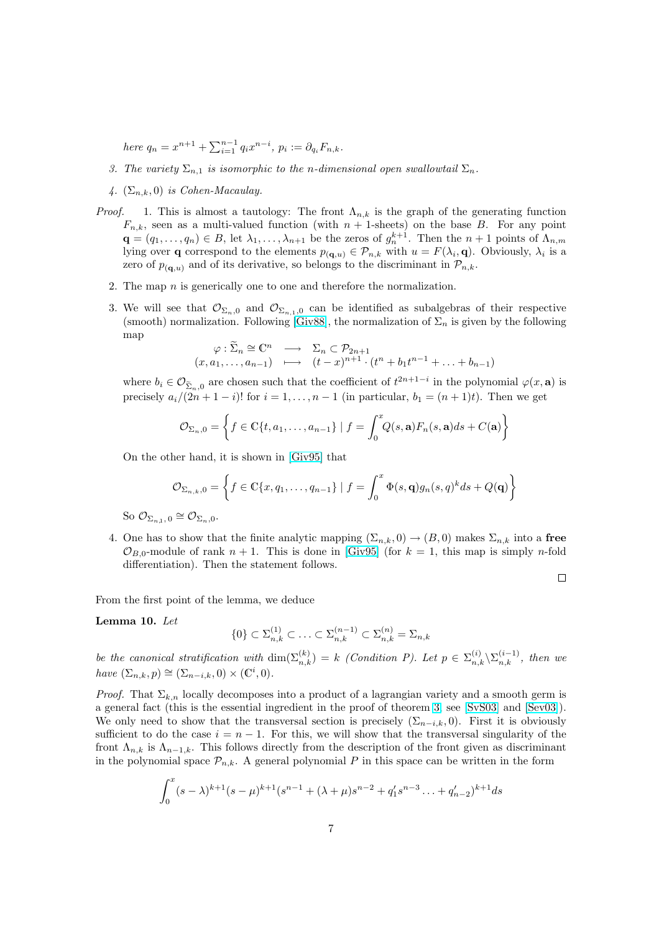here  $q_n = x^{n+1} + \sum_{i=1}^{n-1} q_i x^{n-i}, p_i := \partial_{q_i} F_{n,k}.$ 

- 3. The variety  $\Sigma_{n,1}$  is isomorphic to the n-dimensional open swallowtail  $\Sigma_n$ .
- 4.  $(\Sigma_{n,k},0)$  is Cohen-Macaulay.
- *Proof.* 1. This is almost a tautology: The front  $\Lambda_{n,k}$  is the graph of the generating function  $F_{n,k}$ , seen as a multi-valued function (with  $n+1$ -sheets) on the base B. For any point  $\mathbf{q} = (q_1, \ldots, q_n) \in B$ , let  $\lambda_1, \ldots, \lambda_{n+1}$  be the zeros of  $g_n^{k+1}$ . Then the  $n+1$  points of  $\Lambda_{n,m}$ lying over **q** correspond to the elements  $p_{(\mathbf{q},u)} \in \mathcal{P}_{n,k}$  with  $u = F(\lambda_i, \mathbf{q})$ . Obviously,  $\lambda_i$  is a zero of  $p_{(\mathbf{q},u)}$  and of its derivative, so belongs to the discriminant in  $\mathcal{P}_{n,k}$ .
	- 2. The map  $n$  is generically one to one and therefore the normalization.
	- 3. We will see that  $\mathcal{O}_{\Sigma_n,0}$  and  $\mathcal{O}_{\Sigma_{n,1},0}$  can be identified as subalgebras of their respective (smooth) normalization. Following [Giv88], the normalization of  $\Sigma_n$  is given by the following map

$$
\varphi : \widetilde{\Sigma}_n \cong \mathbb{C}^n \longrightarrow \Sigma_n \subset \mathcal{P}_{2n+1}
$$
  
 $(x, a_1, \dots, a_{n-1}) \longrightarrow (t-x)^{n+1} \cdot (t^n + b_1 t^{n-1} + \dots + b_{n-1})$ 

where  $b_i \in \mathcal{O}_{\tilde{\Sigma}_n,0}$  are chosen such t[hat the](#page-10-0) coefficient of  $t^{2n+1-i}$  in the polynomial  $\varphi(x,\mathbf{a})$  is precisely  $a_i/(2n+1-i)!$  for  $i=1,\ldots,n-1$  (in particular,  $b_1=(n+1)t$ ). Then we get

$$
\mathcal{O}_{\Sigma_n,0} = \left\{ f \in \mathbb{C}\{t,a_1,\ldots,a_{n-1}\} \mid f = \int_0^x Q(s,\mathbf{a}) F_n(s,\mathbf{a}) ds + C(\mathbf{a}) \right\}
$$

On the other hand, it is shown in [Giv95] that

$$
\mathcal{O}_{\Sigma_{n,k},0} = \left\{ f \in \mathbb{C}\{x,q_1,\ldots,q_{n-1}\} \mid f = \int_0^x \Phi(s,\mathbf{q})g_n(s,q)^k ds + Q(\mathbf{q}) \right\}
$$

So  $\mathcal{O}_{\Sigma_{n,1},0} \cong \mathcal{O}_{\Sigma_n,0}.$ 

4. One has to show that the finite analytic mapping  $(\Sigma_{n,k}, 0) \to (B, 0)$  makes  $\Sigma_{n,k}$  into a free  $\mathcal{O}_{B,0}$ -module of rank  $n + 1$ . This is done in [Giv95] (for  $k = 1$ , this map is simply *n*-fold differentiation). Then the statement follows.

 $\Box$ 

From the first point of the lemma, we deduce

Lemma 10. Let

$$
\{0\} \subset \Sigma_{n,k}^{(1)} \subset \ldots \subset \Sigma_{n,k}^{(n-1)} \subset \Sigma_{n,k}^{(n)} = \Sigma_{n,k}
$$

be the canonical stratification with  $\dim(\Sigma_{n,k}^{(k)}) = k$  (Condition P). Let  $p \in \Sigma_{n,k}^{(i)} \backslash \Sigma_{n,k}^{(i-1)}$ , then we have  $(\Sigma_{n,k}, p) \cong (\Sigma_{n-i,k}, 0) \times (\mathbb{C}^i, 0).$ 

*Proof.* That  $\Sigma_{k,n}$  locally decomposes into a product of a lagrangian variety and a smooth germ is a general fact (this is the essential ingredient in the proof of theorem 3, see [SvS03] and [Sev03]). We only need to show that the transversal section is precisely  $(\Sigma_{n-i,k}, 0)$ . First it is obviously sufficient to do the case  $i = n - 1$ . For this, we will show that the transversal singularity of the front  $\Lambda_{n,k}$  is  $\Lambda_{n-1,k}$ . This follows directly from the description of the front given as discriminant in the polynomial space  $\mathcal{P}_{n,k}$ . A general polynomial P in this space c[an](#page-1-0) be [written](#page-11-0) in th[e form](#page-11-0)

$$
\int_0^x (s-\lambda)^{k+1}(s-\mu)^{k+1}(s^{n-1}+(\lambda+\mu)s^{n-2}+q_1's^{n-3}\ldots+q_{n-2}')^{k+1}ds
$$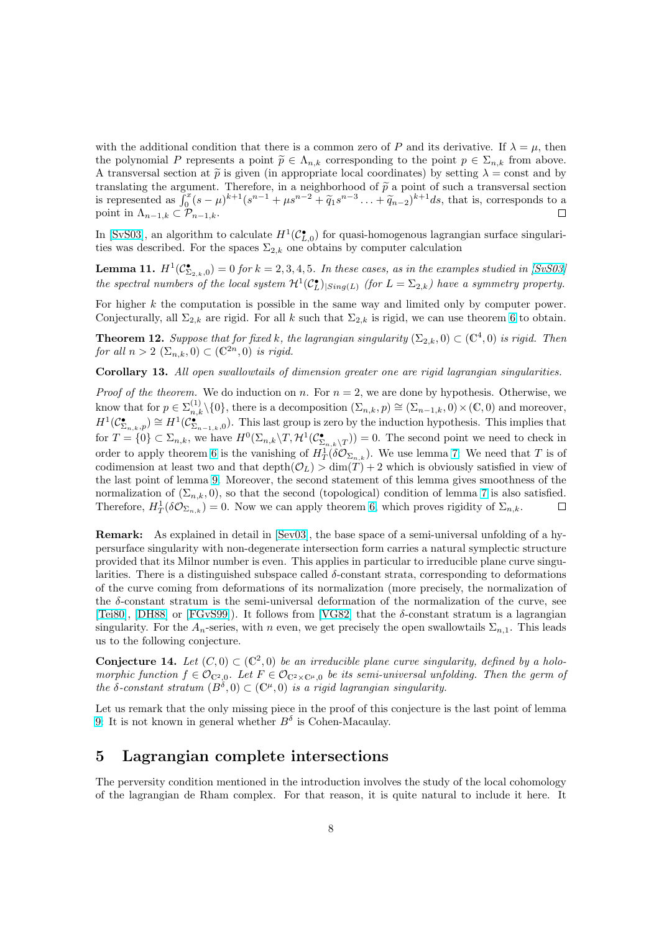with the additional condition that there is a common zero of P and its derivative. If  $\lambda = \mu$ , then the polynomial P represents a point  $\tilde{p} \in \Lambda_{n,k}$  corresponding to the point  $p \in \Sigma_{n,k}$  from above. A transversal section at  $\tilde{p}$  is given (in appropriate local coordinates) by setting  $\lambda = \text{const}$  and by translating the argument. Therefore, in a neighborhood of  $\tilde{p}$  a point of such a transversal section translating the argument. Therefore, in a neignborhood of p a point of such a transversal section<br>is represented as  $\int_0^x (s-\mu)^{k+1}(s^{n-1}+\mu s^{n-2}+\tilde{q}_1s^{n-3}\ldots+\tilde{q}_{n-2})^{k+1}ds$ , that is, corresponds to a point in  $\Lambda_{n-1,k} \subset \mathcal{P}_{n-1,k}$ .  $\Box$ 

In [SvS03], an algorithm to calculate  $H^1(\mathcal{C}_{L,0}^{\bullet})$  for quasi-homogenous lagrangian surface singularities was described. For the spaces  $\Sigma_{2,k}$  one obtains by computer calculation

**Lemma 11.**  $H^1(\mathcal{C}^\bullet_{\Sigma_{2,k},0}) = 0$  for  $k = 2,3,4,5$ . In these cases, as in the examples studied in [SvS03] the [spectra](#page-11-0)l numbers of the local system  $\mathcal{H}^1(\mathcal{C}_L^{\bullet})_{|Sing(L)}$  (for  $L = \Sigma_{2,k}$ ) have a symmetry property.

For higher  $k$  the computation is possible in the same way and limited only by computer power. Conjecturally, all  $\Sigma_{2,k}$  are rigid. For all k such that  $\Sigma_{2,k}$  is rigid, we can use theorem 6 to [obtain.](#page-11-0)

**Theorem 12.** Suppose that for fixed k, the lagrangian singularity  $(\Sigma_{2,k},0) \subset (\mathbb{C}^4,0)$  is rigid. Then for all  $n > 2$   $(\Sigma_{n,k}, 0) \subset (\mathbb{C}^{2n}, 0)$  is rigid.

Corollary 13. All open swallowtails of dimension greater one are rigid lagra[ng](#page-3-0)ian singularities.

*Proof of the theorem.* We do induction on n. For  $n = 2$ , we are done by hypothesis. Otherwise, we know that for  $p \in \sum_{n,k}^{(1)} \setminus \{0\}$ , there is a decomposition  $(\sum_{n,k}, p) \cong (\sum_{n-1,k}, 0) \times (\mathbb{C}, 0)$  and moreover,  $H^1(\mathcal{C}^{\bullet}_{\Sigma_{n,k},p})\cong H^1(\mathcal{C}^{\bullet}_{\Sigma_{n-1,k},0}).$  This last group is zero by the induction hypothesis. This implies that for  $T = \{0\} \subset \Sigma_{n,k}$ , we have  $H^0(\Sigma_{n,k} \backslash T, \mathcal{H}^1(\mathcal{C}_{\Sigma_{n,k} \backslash T}^{\bullet})) = 0$ . The second point we need to check in order to apply theorem 6 is the vanishing of  $H^1_T(\delta \mathcal{O}_{\Sigma_{n,k}})$ . We use lemma 7: We need that T is of codimension at least two and that depth $(\mathcal{O}_L) > \dim(T) + 2$  which is obviously satisfied in view of the last point of lemma 9. Moreover, the second statement of this lemma gives smoothness of the normalization of  $(\Sigma_{n,k}, 0)$ , so that the second (topological) condition of lemma 7 is also satisfied. Therefore,  $H_T^1(\delta \mathcal{O}_{\Sigma_{n,k}}) = 0$  $H_T^1(\delta \mathcal{O}_{\Sigma_{n,k}}) = 0$  $H_T^1(\delta \mathcal{O}_{\Sigma_{n,k}}) = 0$ . Now we can apply theorem 6, which proves [rig](#page-4-0)idity of  $\Sigma_{n,k}$ .  $\Box$ 

Remark: As explaine[d i](#page-5-0)n detail in [Sev03], the base space of a semi-universal unfolding of a hypersurface singularity with non-degenerate intersection form carries a natural sy[mp](#page-4-0)lectic structure provided that its Milnor number is even. This applies in [par](#page-3-0)ticular to irreducible plane curve singularities. There is a distinguished subspace called  $\delta$ -constant strata, corresponding to deformations of the curve coming from deformatio[ns of it](#page-11-0)s normalization (more precisely, the normalization of the δ-constant stratum is the semi-universal deformation of the normalization of the curve, see [Tei80], [DH88] or [FGvS99]). It follows from [VG82] that the  $\delta$ -constant stratum is a lagrangian singularity. For the  $A_n$ -series, with n even, we get precisely the open swallowtails  $\Sigma_{n,1}$ . This leads us to the following conjecture.

**Conjecture 14.** Let  $(C, 0) \subset (C^2, 0)$  be an irreducible plane curve singularity, defined by a holo[morph](#page-11-0)ic [functio](#page-10-0)n  $f \in \mathcal{O}_{\mathbb{C}^2,0}$ . Let  $F \in \mathcal{O}_{\mathbb{C}^2 \times \mathbb{C}^{\mu},0}$  [be its](#page-11-0) semi-universal unfolding. Then the germ of the  $\delta$ -constant stratum  $(B^{\delta}, 0) \subset (\mathbb{C}^{\mu}, 0)$  is a rigid lagrangian singularity.

Let us remark that the only missing piece in the proof of this conjecture is the last point of lemma 9: It is not known in general whether  $B^{\delta}$  is Cohen-Macaulay.

## 5 Lagrangian complete intersections

[T](#page-5-0)he perversity condition mentioned in the introduction involves the study of the local cohomology of the lagrangian de Rham complex. For that reason, it is quite natural to include it here. It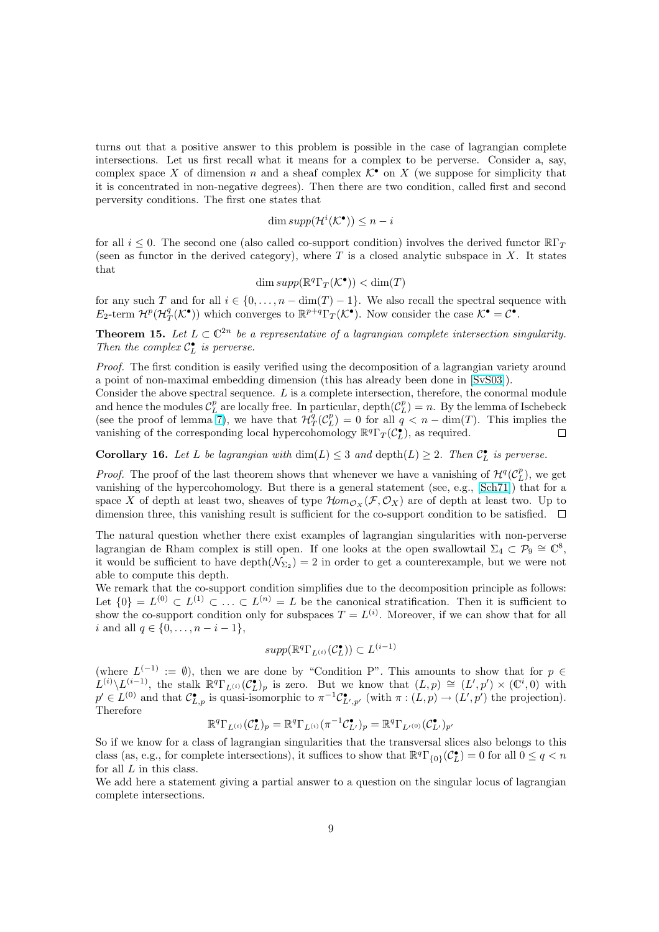turns out that a positive answer to this problem is possible in the case of lagrangian complete intersections. Let us first recall what it means for a complex to be perverse. Consider a, say, complex space X of dimension n and a sheaf complex  $\mathcal{K}^{\bullet}$  on X (we suppose for simplicity that it is concentrated in non-negative degrees). Then there are two condition, called first and second perversity conditions. The first one states that

$$
\dim supp(\mathcal{H}^i(\mathcal{K}^{\bullet})) \leq n - i
$$

for all  $i \leq 0$ . The second one (also called co-support condition) involves the derived functor  $\mathbb{R}\Gamma_T$ (seen as functor in the derived category), where  $T$  is a closed analytic subspace in  $X$ . It states that

$$
\dim supp(\mathbb{R}^q \Gamma_T(\mathcal{K}^\bullet)) < \dim(T)
$$

for any such T and for all  $i \in \{0, \ldots, n - \dim(T) - 1\}$ . We also recall the spectral sequence with  $E_2$ -term  $\mathcal{H}^p(\mathcal{H}_T^q(\mathcal{K}^{\bullet}))$  which converges to  $\mathbb{R}^{p+q} \Gamma_T^r(\mathcal{K}^{\bullet})$ . Now consider the case  $\mathcal{K}^{\bullet} = \mathcal{C}^{\bullet}$ .

**Theorem 15.** Let  $L \subset \mathbb{C}^{2n}$  be a representative of a lagrangian complete intersection singularity. Then the complex  $C_{L}^{\bullet}$  is perverse.

Proof. The first condition is easily verified using the decomposition of a lagrangian variety around a point of non-maximal embedding dimension (this has already been done in [SvS03]).

Consider the above spectral sequence. L is a complete intersection, therefore, the conormal module and hence the modules  $\mathcal{C}_L^p$  are locally free. In particular,  $\text{depth}(\mathcal{C}_L^p) = n$ . By the lemma of Ischebeck (see the proof of lemma 7), we have that  $\mathcal{H}_T^q(\mathcal{C}_L^p) = 0$  for all  $q' < n - \dim(T)$ . This implies the vanishing of the corresponding local hypercohomology  $\mathbb{R}^q \Gamma_T(\mathcal{C}_{L}^{\bullet})$ , as required.  $\Box$ 

**Corollary 16.** Let L be lagrangian with  $\dim(L) \leq 3$  and  $\text{depth}(L) \geq 2$ . Then  $C_{L}^{\bullet}$  is perverse.

*Proof.* The proof of the [las](#page-4-0)t theorem shows that whenever we have a vanishing of  $\mathcal{H}^q(\mathcal{C}_L^p)$ , we get vanishing of the hypercohomology. But there is a general statement (see, e.g., [Sch71]) that for a space X of depth at least two, sheaves of type  $\mathcal{H}om_{\mathcal{O}_X}(\mathcal{F}, \mathcal{O}_X)$  are of depth at least two. Up to dimension three, this vanishing result is sufficient for the co-support condition to be satisfied.  $\Box$ 

The natural question whether there exist examples of lagrangian singularities [with n](#page-11-0)on-perverse lagrangian de Rham complex is still open. If one looks at the open swallowtail  $\Sigma_4 \subset \mathcal{P}_9 \cong \mathbb{C}^8$ , it would be sufficient to have  $\text{depth}(\mathcal{N}_{\Sigma_2}) = 2$  in order to get a counterexample, but we were not able to compute this depth.

We remark that the co-support condition simplifies due to the decomposition principle as follows: Let  $\{0\} = L^{(0)} \subset L^{(1)} \subset \ldots \subset L^{(n)} = L$  be the canonical stratification. Then it is sufficient to show the co-support condition only for subspaces  $T = L^{(i)}$ . Moreover, if we can show that for all i and all  $q \in \{0, \ldots, n-i-1\},\$ 

$$
supp(\mathbb{R}^q\Gamma_{L^{(i)}}(\mathcal{C}_L^{\bullet})) \subset L^{(i-1)}
$$

(where  $L^{(-1)} := \emptyset$ ), then we are done by "Condition P". This amounts to show that for  $p \in$  $L^{(i)}\setminus L^{(i-1)}$ , the stalk  $\mathbb{R}^q\Gamma_{L^{(i)}}(\mathcal{C}_{L}^{\bullet})_p$  is zero. But we know that  $(L,p) \cong (L',p') \times (\mathbb{C}^i,0)$  with  $p' \in L^{(0)}$  and that  $C^{\bullet}_{L,p}$  is quasi-isomorphic to  $\pi^{-1}C^{\bullet}_{L',p'}$  (with  $\pi:(L,p) \to (L',p')$  the projection). Therefore

$$
\mathbb{R}^q \Gamma_{L^{(i)}}(\mathcal{C}_L^{\bullet})_p = \mathbb{R}^q \Gamma_{L^{(i)}}(\pi^{-1} \mathcal{C}_{L'}^{\bullet})_p = \mathbb{R}^q \Gamma_{L^{(0)}}(\mathcal{C}_{L'}^{\bullet})_{p'}
$$

So if we know for a class of lagrangian singularities that the transversal slices also belongs to this class (as, e.g., for complete intersections), it suffices to show that  $\mathbb{R}^q\Gamma_{\{0\}}(\mathcal{C}_L^{\bullet})=0$  for all  $0 \leq q < n$ for all  $L$  in this class.

We add here a statement giving a partial answer to a question on the singular locus of lagrangian complete intersections.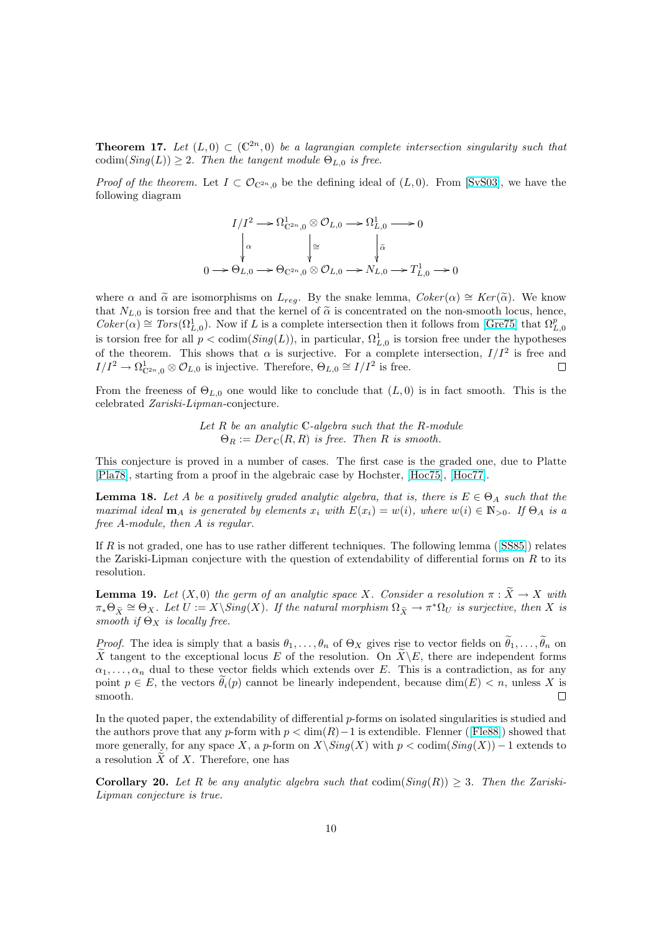**Theorem 17.** Let  $(L, 0) \subset (\mathbb{C}^{2n}, 0)$  be a lagrangian complete intersection singularity such that  $\text{codim}(Sing(L)) \geq 2$ . Then the tangent module  $\Theta_{L,0}$  is free.

*Proof of the theorem.* Let  $I \subset \mathcal{O}_{\mathbb{C}^{2n},0}$  be the defining ideal of  $(L, 0)$ . From [SvS03], we have the following diagram

$$
I/I^2 \longrightarrow \Omega_{\mathbb{C}^{2n},0}^1 \otimes \mathcal{O}_{L,0} \longrightarrow \Omega_{L,0}^1 \longrightarrow 0
$$
  
\n
$$
\downarrow^{\alpha} \qquad \qquad \downarrow^{\alpha} \qquad \qquad \downarrow^{\alpha} \qquad \qquad \downarrow^{\alpha}
$$
  
\n
$$
0 \longrightarrow \Theta_{L,0} \longrightarrow \Theta_{\mathbb{C}^{2n},0} \otimes \mathcal{O}_{L,0} \longrightarrow N_{L,0} \longrightarrow T_{L,0}^1 \longrightarrow 0
$$

where  $\alpha$  and  $\tilde{\alpha}$  are isomorphisms on  $L_{req}$ . By the snake lemma,  $Coker(\alpha) \cong Ker(\tilde{\alpha})$ . We know that  $N_{L,0}$  is torsion free and that the kernel of  $\tilde{\alpha}$  is concentrated on the non-smooth locus, hence,  $Coker(\alpha) \cong Tors(\Omega^1_{L,0})$ . Now if L is a complete intersection then it follows from [Gre75] that  $\Omega^p_{L,0}$ is torsion free for all  $p < \text{codim}(Sing(L))$ , in particular,  $\Omega_{L,0}^1$  is torsion free under the hypotheses of the theorem. This shows that  $\alpha$  is surjective. For a complete intersection,  $I/I^2$  is free and  $I/I^2 \to \Omega^1_{\mathbb{C}^{2n},0} \otimes \mathcal{O}_{L,0}$  is injective. Therefore,  $\Theta_{L,0} \cong I/I^2$  is free.  $\Box$ 

From the freeness of  $\Theta_{L,0}$  one would like to conclude that  $(L, 0)$  is in fact smooth. This is the celebrated Zariski-Lipman-conjecture.

> Let  $R$  be an analytic  $C$ -algebra such that the  $R$ -module  $\Theta_R := Der_{\mathbb{C}}(R,R)$  is free. Then R is smooth.

This conjecture is proved in a number of cases. The first case is the graded one, due to Platte [Pla78], starting from a proof in the algebraic case by Hochster, [Hoc75], [Hoc77].

**Lemma 18.** Let A be a positively graded analytic algebra, that is, there is  $E \in \Theta_A$  such that the maximal ideal  $\mathbf{m}_A$  is generated by elements  $x_i$  with  $E(x_i) = w(i)$ , where  $w(i) \in \mathbb{N}_{>0}$ . If  $\Theta_A$  is a [free](#page-11-0) A-module, then A is regular.

If R is not graded, one has to use rather different techniques. The following lemma ( $[SS85]$ ) relates the Zariski-Lipman conjecture with the question of extendability of differential forms on  $R$  to its resolution.

**Lemma 19.** Let  $(X, 0)$  the germ of an analytic space X. Consider a resolution  $\pi : \widetilde{X} \to X$  with  $\pi_*\Theta_{\tilde X}\cong \Theta_X$ . Let  $U:=X\backslash Sing(X)$ . If the natural morphism  $\Omega_{\tilde X}\to \pi^*\Omega_U$  is surject[ive, th](#page-11-0)en X is smooth if  $\Theta_X$  is locally free.

*Proof.* The idea is simply that a basis  $\theta_1, \ldots, \theta_n$  of  $\Theta_X$  gives rise to vector fields on  $\tilde{\theta}_1, \ldots, \tilde{\theta}_n$  on X tangent to the exceptional locus E of the resolution. On  $\widetilde{X}\setminus E$ , there are independent forms  $\alpha_1, \ldots, \alpha_n$  dual to these vector fields which extends over E. This is a contradiction, as for any point  $p \in E$ , the vectors  $\theta_i(p)$  cannot be linearly independent, because  $\dim(E) < n$ , unless X is smooth.  $\Box$ 

In the quoted paper, the extendability of differential  $p$ -forms on isolated singularities is studied and the authors prove that any p-form with  $p < \dim(R) - 1$  is extendible. Flenner ([Fle88]) showed that more generally, for any space X, a p-form on  $X\setminus Sing(X)$  with  $p < \text{codim}(Sing(X)) - 1$  extends to a resolution  $\widetilde{X}$  of X. Therefore, one has

**Corollary 20.** Let R be any analytic algebra such that  $\text{codim}(Sing(R)) \geq 3$ [. Then](#page-10-0) the Zariski-Lipman conjecture is true.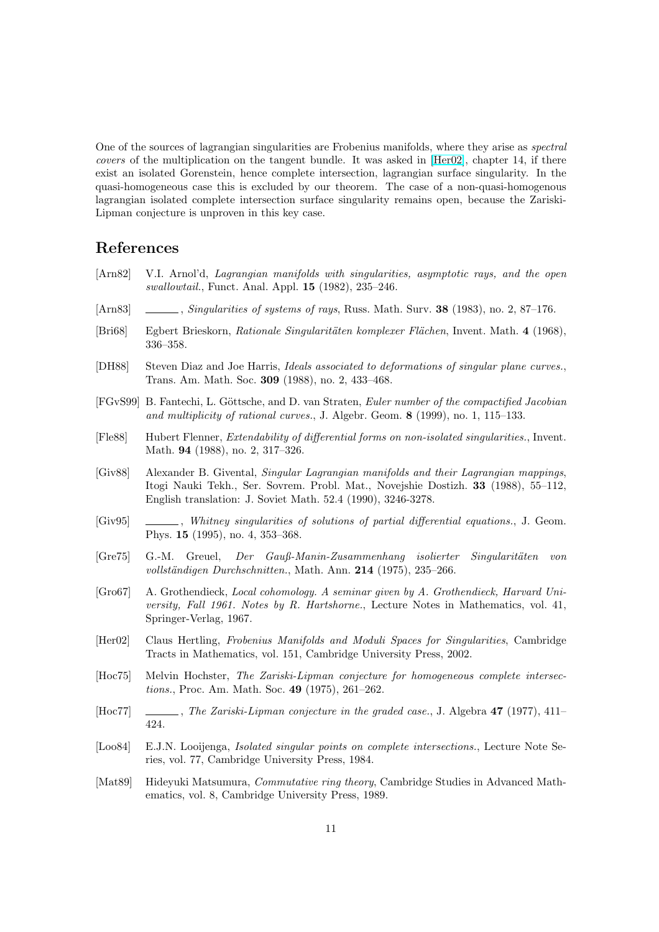<span id="page-10-0"></span>One of the sources of lagrangian singularities are Frobenius manifolds, where they arise as spectral covers of the multiplication on the tangent bundle. It was asked in [Her02], chapter 14, if there exist an isolated Gorenstein, hence complete intersection, lagrangian surface singularity. In the quasi-homogeneous case this is excluded by our theorem. The case of a non-quasi-homogenous lagrangian isolated complete intersection surface singularity remains open, because the Zariski-Lipman conjecture is unproven in this key case.

#### References

- [Arn82] V.I. Arnol'd, Lagrangian manifolds with singularities, asymptotic rays, and the open swallowtail., Funct. Anal. Appl. 15 (1982), 235–246.
- [Arn83] , Singularities of systems of rays, Russ. Math. Surv. 38 (1983), no. 2, 87–176.
- [Bri68] Egbert Brieskorn, *Rationale Singularitäten komplexer Flächen*, Invent. Math. 4 (1968), 336–358.
- [DH88] Steven Diaz and Joe Harris, Ideals associated to deformations of singular plane curves., Trans. Am. Math. Soc. 309 (1988), no. 2, 433–468.
- [FGvS99] B. Fantechi, L. Göttsche, and D. van Straten, Euler number of the compactified Jacobian and multiplicity of rational curves., J. Algebr. Geom. 8 (1999), no. 1, 115–133.
- [Fle88] Hubert Flenner, Extendability of differential forms on non-isolated singularities., Invent. Math. 94 (1988), no. 2, 317–326.
- [Giv88] Alexander B. Givental, Singular Lagrangian manifolds and their Lagrangian mappings, Itogi Nauki Tekh., Ser. Sovrem. Probl. Mat., Novejshie Dostizh. 33 (1988), 55–112, English translation: J. Soviet Math. 52.4 (1990), 3246-3278.
- [Giv95] , Whitney singularities of solutions of partial differential equations., J. Geom. Phys. 15 (1995), no. 4, 353–368.
- [Gre75] G.-M. Greuel, Der Gauß-Manin-Zusammenhang isolierter Singularit¨aten von vollständigen Durchschnitten., Math. Ann.  $214$  (1975), 235–266.
- [Gro67] A. Grothendieck, Local cohomology. A seminar given by A. Grothendieck, Harvard University, Fall 1961. Notes by R. Hartshorne., Lecture Notes in Mathematics, vol. 41, Springer-Verlag, 1967.
- [Her02] Claus Hertling, Frobenius Manifolds and Moduli Spaces for Singularities, Cambridge Tracts in Mathematics, vol. 151, Cambridge University Press, 2002.
- [Hoc75] Melvin Hochster, The Zariski-Lipman conjecture for homogeneous complete intersections., Proc. Am. Math. Soc. 49 (1975), 261–262.
- [Hoc77] , The Zariski-Lipman conjecture in the graded case., J. Algebra 47 (1977), 411– 424.
- [Loo84] E.J.N. Looijenga, *Isolated singular points on complete intersections.*, Lecture Note Series, vol. 77, Cambridge University Press, 1984.
- [Mat89] Hideyuki Matsumura, Commutative ring theory, Cambridge Studies in Advanced Mathematics, vol. 8, Cambridge University Press, 1989.